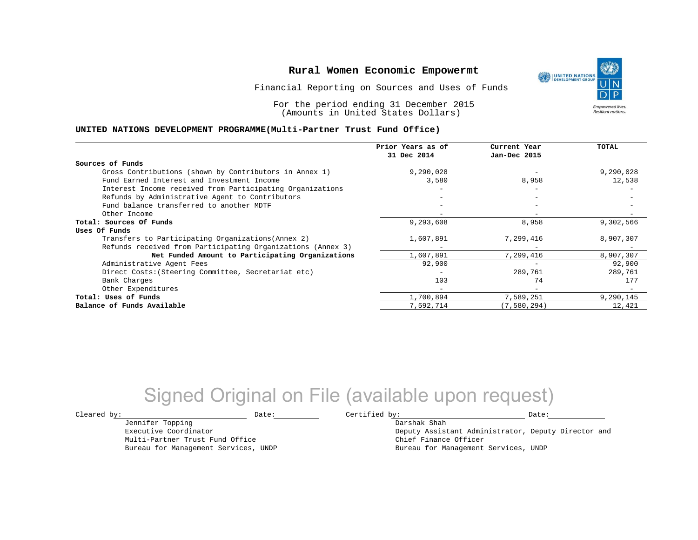Financial Reporting on Sources and Uses of Funds

For the period ending 31 December 2015 (Amounts in United States Dollars)

#### **UNITED NATIONS DEVELOPMENT PROGRAMME(Multi-Partner Trust Fund Office)**

| Prior Years as of | Current Year      | TOTAL     |
|-------------------|-------------------|-----------|
| 31 Dec 2014       | Jan-Dec 2015      |           |
|                   |                   |           |
| 9,290,028         |                   | 9,290,028 |
| 3,580             | 8,958             | 12,538    |
|                   |                   |           |
|                   | $\qquad \qquad -$ |           |
|                   |                   |           |
|                   |                   |           |
| 9,293,608         | 8,958             | 9,302,566 |
|                   |                   |           |
| 1,607,891         | 7,299,416         | 8,907,307 |
|                   |                   |           |
| 1,607,891         | 7,299,416         | 8,907,307 |
| 92,900            |                   | 92,900    |
|                   | 289,761           | 289,761   |
| 103               | 74                | 177       |
|                   |                   |           |
| 1,700,894         | 7,589,251         | 9,290,145 |
| 7,592,714         | (7, 580, 294)     | 12,421    |
|                   |                   |           |

# Signed Original on File (available upon request)

Jennifer Topping Executive Coordinator Multi-Partner Trust Fund Office Bureau for Management Services, UNDP

 $\texttt{Cleared by:}\footnotesize \begin{minipage}{0.9\linewidth} \texttt{Date:}\footnotesize \begin{minipage}{0.9\linewidth} \texttt{Date:}\footnotesize \begin{minipage}{0.9\linewidth} \end{minipage} \end{minipage}$ 

Darshak Shah

Deputy Assistant Administrator, Deputy Director and Chief Finance Officer Bureau for Management Services, UNDP

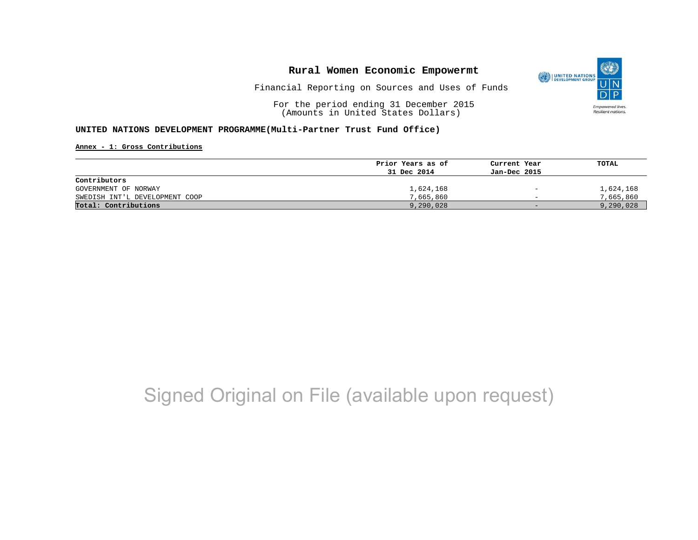

Financial Reporting on Sources and Uses of Funds

For the period ending 31 December 2015 (Amounts in United States Dollars)

### **UNITED NATIONS DEVELOPMENT PROGRAMME(Multi-Partner Trust Fund Office)**

**Annex - 1: Gross Contributions**

|                                | Prior Years as of | Current Year             | TOTAL     |
|--------------------------------|-------------------|--------------------------|-----------|
|                                | 31 Dec 2014       | Jan-Dec 2015             |           |
| Contributors                   |                   |                          |           |
| GOVERNMENT OF NORWAY           | 1,624,168         | $\overline{\phantom{a}}$ | 1,624,168 |
| SWEDISH INT'L DEVELOPMENT COOP | 7,665,860         | $\overline{\phantom{0}}$ | 7,665,860 |
| Total: Contributions           | 9,290,028         | $-$                      | 9,290,028 |

# Signed Original on File (available upon request)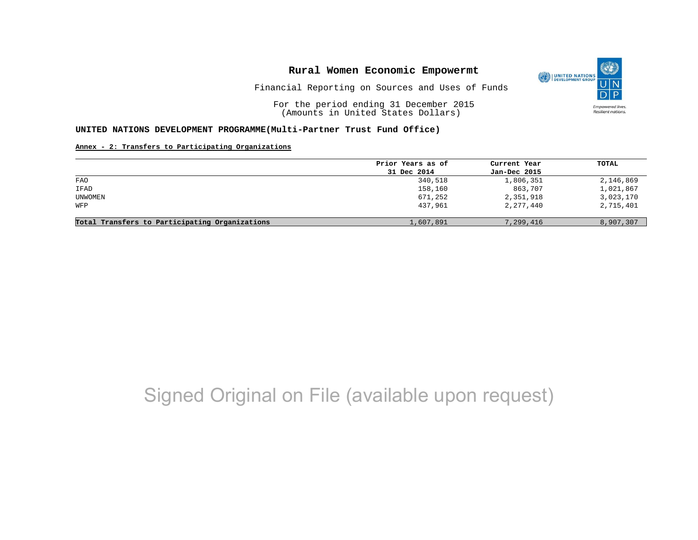

Financial Reporting on Sources and Uses of Funds

For the period ending 31 December 2015 (Amounts in United States Dollars)

#### **UNITED NATIONS DEVELOPMENT PROGRAMME(Multi-Partner Trust Fund Office)**

### **Annex - 2: Transfers to Participating Organizations**

|                                                | Prior Years as of | Current Year | TOTAL     |
|------------------------------------------------|-------------------|--------------|-----------|
|                                                | 31 Dec 2014       | Jan-Dec 2015 |           |
| FAO                                            | 340,518           | 1,806,351    | 2,146,869 |
| IFAD                                           | 158,160           | 863,707      | 1,021,867 |
| UNWOMEN                                        | 671,252           | 2,351,918    | 3,023,170 |
| WFP                                            | 437,961           | 2,277,440    | 2,715,401 |
| Total Transfers to Participating Organizations | 1,607,891         | 7,299,416    | 8,907,307 |

# Signed Original on File (available upon request)